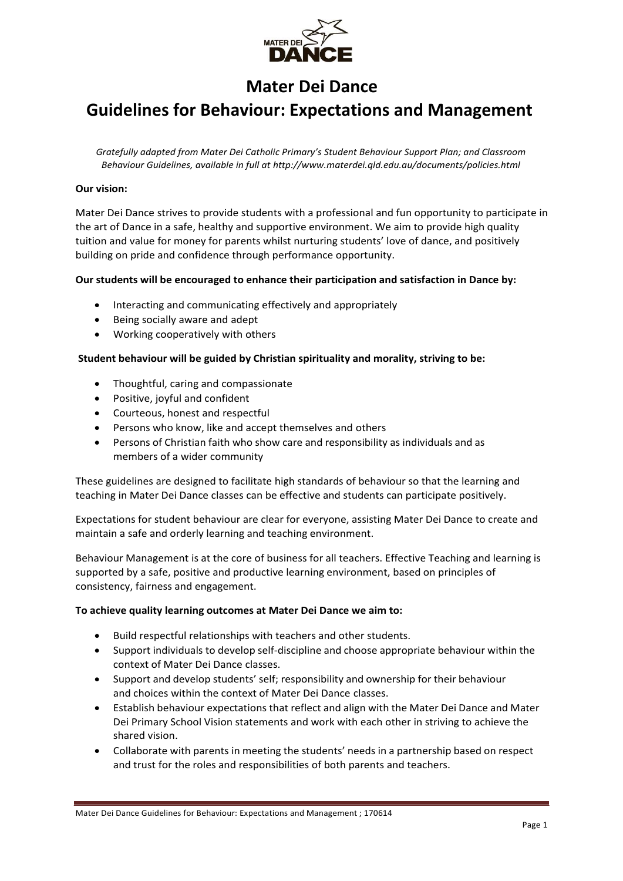

# **Mater Dei Dance**

# **Guidelines for Behaviour: Expectations and Management**

*Gratefully adapted from Mater Dei Catholic Primary's Student Behaviour Support Plan; and Classroom Behaviour Guidelines, available in full at<http://www.materdei.qld.edu.au/documents/policies.html>*

# **Our vision:**

Mater Dei Dance strives to provide students with a professional and fun opportunity to participate in the art of Dance in a safe, healthy and supportive environment. We aim to provide high quality tuition and value for money for parents whilst nurturing students' love of dance, and positively building on pride and confidence through performance opportunity.

# **Our students will be encouraged to enhance their participation and satisfaction in Dance by:**

- Interacting and communicating effectively and appropriately
- Being socially aware and adept
- Working cooperatively with others

## **Student behaviour will be guided by Christian spirituality and morality, striving to be:**

- Thoughtful, caring and compassionate
- Positive, joyful and confident
- Courteous, honest and respectful
- Persons who know, like and accept themselves and others
- Persons of Christian faith who show care and responsibility as individuals and as members of a wider community

These guidelines are designed to facilitate high standards of behaviour so that the learning and teaching in Mater Dei Dance classes can be effective and students can participate positively.

Expectations for student behaviour are clear for everyone, assisting Mater Dei Dance to create and maintain a safe and orderly learning and teaching environment.

Behaviour Management is at the core of business for all teachers. Effective Teaching and learning is supported by a safe, positive and productive learning environment, based on principles of consistency, fairness and engagement.

### **To achieve quality learning outcomes at Mater Dei Dance we aim to:**

- Build respectful relationships with teachers and other students.
- Support individuals to develop self-discipline and choose appropriate behaviour within the context of Mater Dei Dance classes.
- Support and develop students' self; responsibility and ownership for their behaviour and choices within the context of Mater Dei Dance classes.
- Establish behaviour expectations that reflect and align with the Mater Dei Dance and Mater Dei Primary School Vision statements and work with each other in striving to achieve the shared vision.
- Collaborate with parents in meeting the students' needs in a partnership based on respect and trust for the roles and responsibilities of both parents and teachers.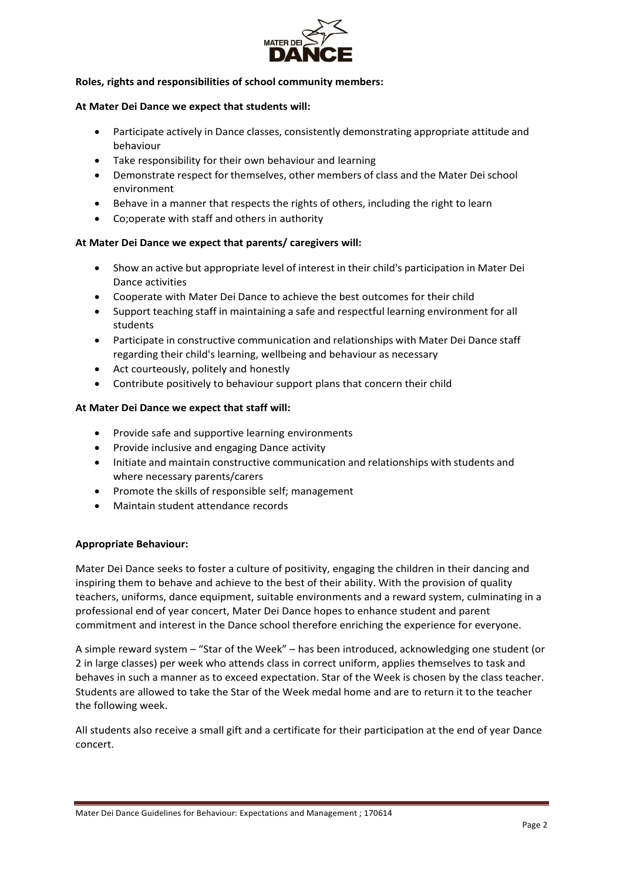

## **Roles, rights and responsibilities of school community members:**

### **At Mater Dei Dance we expect that students will:**

- Participate actively in Dance classes, consistently demonstrating appropriate attitude and behaviour
- Take responsibility for their own behaviour and learning
- Demonstrate respect for themselves, other members of class and the Mater Dei school environment
- Behave in a manner that respects the rights of others, including the right to learn
- Co;operate with staff and others in authority

# **At Mater Dei Dance we expect that parents/ caregivers will:**

- Show an active but appropriate level of interest in their child's participation in Mater Dei Dance activities
- Cooperate with Mater Dei Dance to achieve the best outcomes for their child
- Support teaching staff in maintaining a safe and respectful learning environment for all students
- Participate in constructive communication and relationships with Mater Dei Dance staff regarding their child's learning, wellbeing and behaviour as necessary
- Act courteously, politely and honestly
- Contribute positively to behaviour support plans that concern their child

## **At Mater Dei Dance we expect that staff will:**

- Provide safe and supportive learning environments
- Provide inclusive and engaging Dance activity
- Initiate and maintain constructive communication and relationships with students and where necessary parents/carers
- Promote the skills of responsible self; management
- Maintain student attendance records

# **Appropriate Behaviour:**

Mater Dei Dance seeks to foster a culture of positivity, engaging the children in their dancing and inspiring them to behave and achieve to the best of their ability. With the provision of quality teachers, uniforms, dance equipment, suitable environments and a reward system, culminating in a professional end of year concert, Mater Dei Dance hopes to enhance student and parent commitment and interest in the Dance school therefore enriching the experience for everyone.

A simple reward system – "Star of the Week" – has been introduced, acknowledging one student (or 2 in large classes) per week who attends class in correct uniform, applies themselves to task and behaves in such a manner as to exceed expectation. Star of the Week is chosen by the class teacher. Students are allowed to take the Star of the Week medal home and are to return it to the teacher the following week.

All students also receive a small gift and a certificate for their participation at the end of year Dance concert.

Mater Dei Dance Guidelines for Behaviour: Expectations and Management ; 170614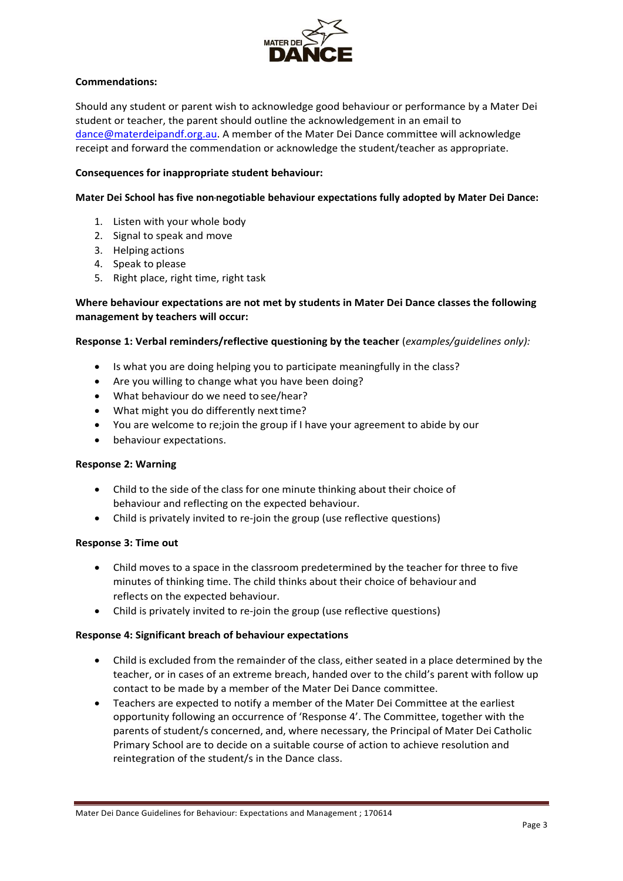

# **Commendations:**

Should any student or parent wish to acknowledge good behaviour or performance by a Mater Dei student or teacher, the parent should outline the acknowledgement in an email to [dance@materdeipandf.org.au.](mailto:dance@materdeipandf.org.au) A member of the Mater Dei Dance committee will acknowledge receipt and forward the commendation or acknowledge the student/teacher as appropriate.

# **Consequences for inappropriate student behaviour:**

# **Mater Dei School has five non-negotiable behaviour expectations fully adopted by Mater Dei Dance:**

- 1. Listen with your whole body
- 2. Signal to speak and move
- 3. Helping actions
- 4. Speak to please
- 5. Right place, right time, right task

# **Where behaviour expectations are not met by students in Mater Dei Dance classes the following management by teachers will occur:**

# **Response 1: Verbal reminders/reflective questioning by the teacher** (*examples/guidelines only):*

- Is what you are doing helping you to participate meaningfully in the class?
- Are you willing to change what you have been doing?
- What behaviour do we need to see/hear?
- What might you do differently next time?
- You are welcome to re;join the group if I have your agreement to abide by our
- behaviour expectations.

# **Response 2: Warning**

- Child to the side of the class for one minute thinking about their choice of behaviour and reflecting on the expected behaviour.
- Child is privately invited to re-join the group (use reflective questions)

# **Response 3: Time out**

- Child moves to a space in the classroom predetermined by the teacher for three to five minutes of thinking time. The child thinks about their choice of behaviour and reflects on the expected behaviour.
- Child is privately invited to re-join the group (use reflective questions)

# **Response 4: Significant breach of behaviour expectations**

- Child is excluded from the remainder of the class, either seated in a place determined by the teacher, or in cases of an extreme breach, handed over to the child's parent with follow up contact to be made by a member of the Mater Dei Dance committee.
- Teachers are expected to notify a member of the Mater Dei Committee at the earliest opportunity following an occurrence of 'Response 4'. The Committee, together with the parents of student/s concerned, and, where necessary, the Principal of Mater Dei Catholic Primary School are to decide on a suitable course of action to achieve resolution and reintegration of the student/s in the Dance class.